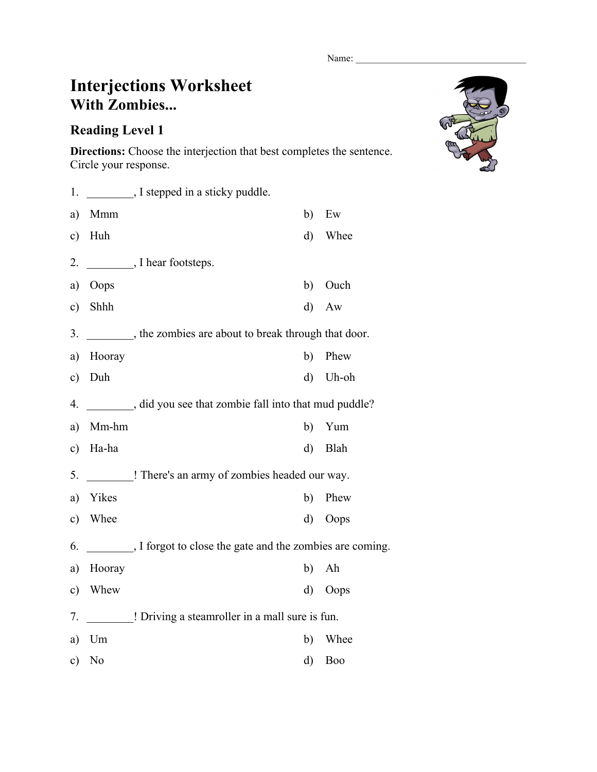Name:

## **Interjections Worksheet With Zombies...**

## **Reading Level 1**

**Directions:** Choose the interjection that best completes the sentence. Circle your response.

| 1.            |        | I stepped in a sticky puddle.                          |       |
|---------------|--------|--------------------------------------------------------|-------|
| a)            | Mmm    | b)                                                     | Ew    |
| c)            | Huh    | $\rm d)$                                               | Whee  |
| 2.            |        | $\frac{1}{2}$ , I hear footsteps.                      |       |
| a)            | Oops   | b)                                                     | Ouch  |
| c)            | Shhh   | $\mathbf{d}$                                           | Aw    |
| 3.            |        | the zombies are about to break through that door.      |       |
| a)            | Hooray | b)                                                     | Phew  |
| $\circ$ )     | Duh    | $\mathbf{d}$                                           | Uh-oh |
| 4.            |        | did you see that zombie fall into that mud puddle?     |       |
| a)            | Mm-hm  | b)                                                     | Yum   |
| c)            | Ha-ha  | d)                                                     | Blah  |
| 5.            |        | ! There's an army of zombies headed our way.           |       |
| a)            | Yikes  | b)                                                     | Phew  |
| $\mathbf{c})$ | Whee   | d)                                                     | Oops  |
| 6.            |        | I forgot to close the gate and the zombies are coming. |       |
| a)            | Hooray | b)                                                     | Ah    |
| c)            | Whew   | d)                                                     | Oops  |
| 7.            |        | ! Driving a steamroller in a mall sure is fun.         |       |
| a)            | Um     | b)                                                     | Whee  |
| c)            | No     | d)                                                     | Boo   |

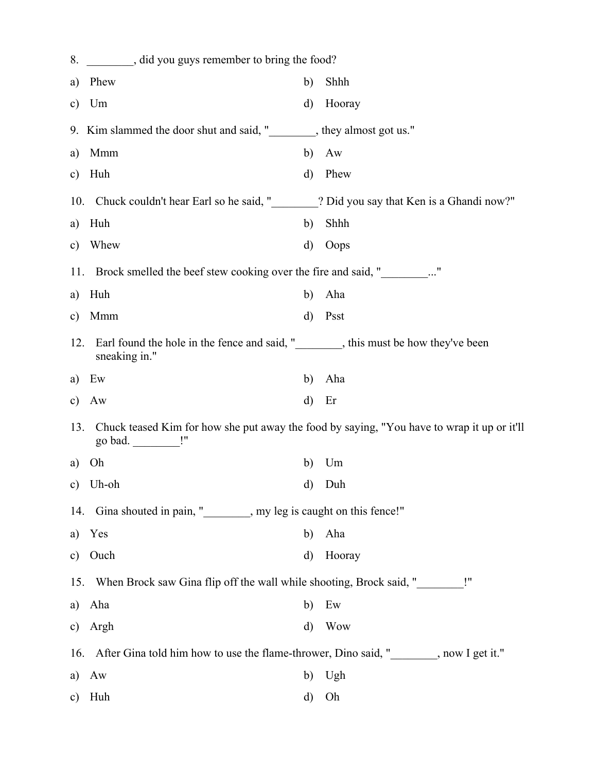| 8.            | did you guys remember to bring the food?                                                   |              |            |  |  |
|---------------|--------------------------------------------------------------------------------------------|--------------|------------|--|--|
| a)            | Phew                                                                                       | b)           | Shhh       |  |  |
| $\mathbf{c})$ | Um                                                                                         | d)           | Hooray     |  |  |
|               | 9. Kim slammed the door shut and said, " state begins they almost got us."                 |              |            |  |  |
| a)            | Mmm                                                                                        | b)           | Aw         |  |  |
| $\mathbf{c})$ | Huh                                                                                        | d)           | Phew       |  |  |
|               | 10. Chuck couldn't hear Earl so he said, " 2 Did you say that Ken is a Ghandi now?"        |              |            |  |  |
| a)            | Huh                                                                                        | b)           | Shhh       |  |  |
| $\mathbf{c})$ | Whew                                                                                       | d)           | Oops       |  |  |
|               | 11. Brock smelled the beef stew cooking over the fire and said, "                          |              |            |  |  |
| a)            | Huh                                                                                        | b)           | Aha        |  |  |
| c)            | Mmm                                                                                        | $\rm d)$     | Psst       |  |  |
| 12.           | Earl found the hole in the fence and said, " state how they've been<br>sneaking in."       |              |            |  |  |
| a)            | Ew                                                                                         | b)           | Aha        |  |  |
| c)            | Aw                                                                                         | $\mathbf{d}$ | Er         |  |  |
| 13.           | Chuck teased Kim for how she put away the food by saying, "You have to wrap it up or it'll |              |            |  |  |
| a)            | Oh                                                                                         | b)           | Um         |  |  |
| c)            | Uh-oh                                                                                      | d)           | Duh        |  |  |
|               | 14. Gina shouted in pain, " subseteq many leg is caught on this fence!"                    |              |            |  |  |
| a)            | Yes                                                                                        | b)           | Aha        |  |  |
| $\mathbf{c})$ | Ouch                                                                                       | $\mathbf{d}$ | Hooray     |  |  |
| 15.           | When Brock saw Gina flip off the wall while shooting, Brock said, "                        |              |            |  |  |
| a)            | Aha                                                                                        | b)           | Ew         |  |  |
| $\mathbf{c})$ | Argh                                                                                       | $\mathbf{d}$ | <b>Wow</b> |  |  |
|               | 16. After Gina told him how to use the flame-thrower, Dino said, " subseteq now I get it." |              |            |  |  |
| a)            | Aw                                                                                         | b)           | Ugh        |  |  |
| $\mathbf{c})$ | Huh                                                                                        | d)           | Oh         |  |  |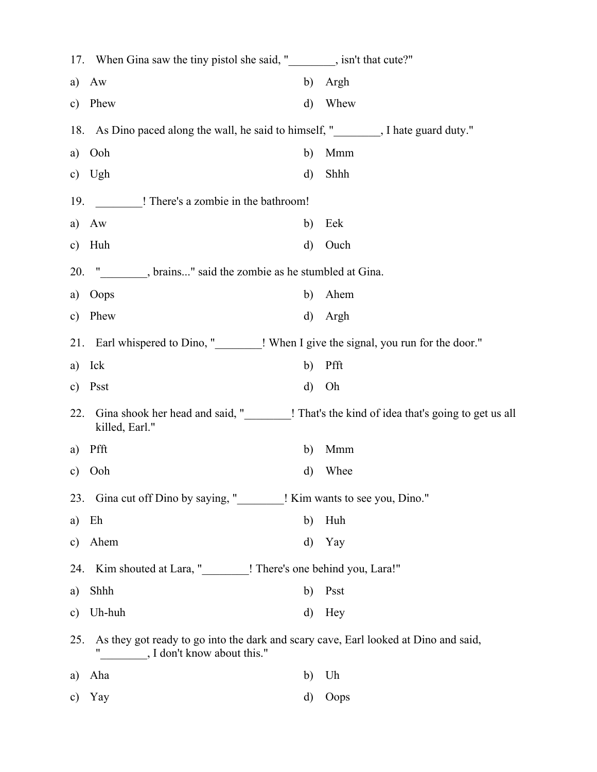|               | 17. When Gina saw the tiny pistol she said, " signally limit that cute?"                                       |          |      |
|---------------|----------------------------------------------------------------------------------------------------------------|----------|------|
| a)            | Aw                                                                                                             | b)       | Argh |
| $\mathbf{c})$ | Phew                                                                                                           | d)       | Whew |
|               | 18. As Dino paced along the wall, he said to himself, " Same Mate guard duty."                                 |          |      |
| a)            | Ooh                                                                                                            | b)       | Mmm  |
| $\mathbf{c})$ | Ugh                                                                                                            | d)       | Shhh |
| 19.           | ! There's a zombie in the bathroom!                                                                            |          |      |
| a)            | Aw                                                                                                             | b)       | Eek  |
| $\mathbf{c})$ | Huh                                                                                                            | d)       | Ouch |
| 20.           | " less brains" said the zombie as he stumbled at Gina.                                                         |          |      |
| a)            | Oops                                                                                                           | b)       | Ahem |
| $\mathbf{c})$ | Phew                                                                                                           | $\rm d)$ | Argh |
|               | 21. Earl whispered to Dino, "________! When I give the signal, you run for the door."                          |          |      |
| a)            | Ick                                                                                                            | b)       | Pfft |
| $\mathbf{c})$ | Psst                                                                                                           | d)       | Oh   |
| 22.           | Gina shook her head and said, "_________! That's the kind of idea that's going to get us all<br>killed, Earl." |          |      |
| a)            | Pfft                                                                                                           | b)       | Mmm  |
| $\mathbf{c})$ | Ooh                                                                                                            | d)       | Whee |
| 23.           | Gina cut off Dino by saying, "I Kim wants to see you, Dino."                                                   |          |      |
| a)            | Eh                                                                                                             | b)       | Huh  |
| $\mathbf{c})$ | Ahem                                                                                                           | d)       | Yay  |
| 24.           | Kim shouted at Lara, "_________! There's one behind you, Lara!"                                                |          |      |
| a)            | Shhh                                                                                                           | b)       | Psst |
| $\mathbf{c})$ | Uh-huh                                                                                                         | $\rm d$  | Hey  |
| 25.           | As they got ready to go into the dark and scary cave, Earl looked at Dino and said,                            |          |      |
| a)            | Aha                                                                                                            | b)       | Uh   |
| $\mathbf{c})$ | Yay                                                                                                            | d)       | Oops |